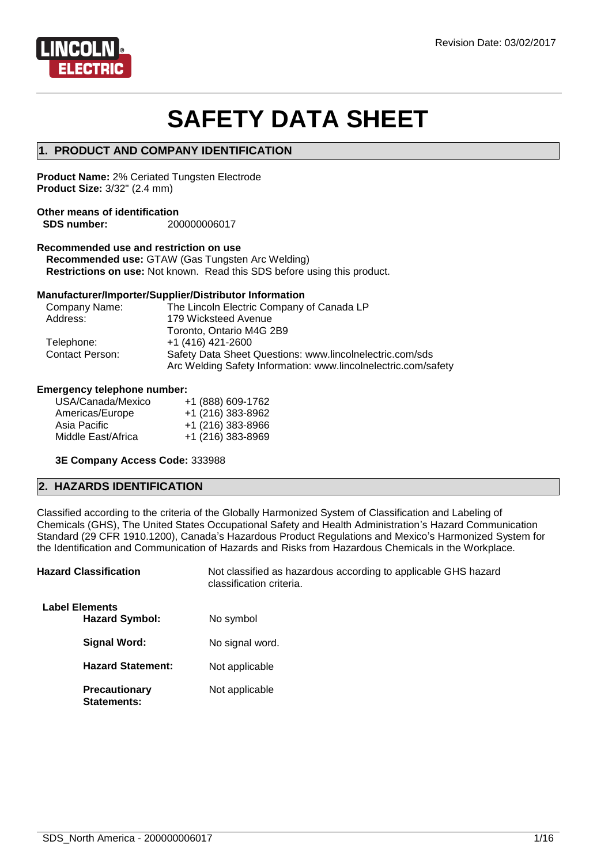

# **SAFETY DATA SHEET**

# **1. PRODUCT AND COMPANY IDENTIFICATION**

**Product Name:** 2% Ceriated Tungsten Electrode **Product Size:** 3/32" (2.4 mm)

## **Other means of identification SDS number:** 200000006017

# **Recommended use and restriction on use**

**Recommended use:** GTAW (Gas Tungsten Arc Welding) **Restrictions on use:** Not known. Read this SDS before using this product.

#### **Manufacturer/Importer/Supplier/Distributor Information**

| Company Name:          | The Lincoln Electric Company of Canada LP                                                                                  |
|------------------------|----------------------------------------------------------------------------------------------------------------------------|
| Address:               | 179 Wicksteed Avenue                                                                                                       |
|                        | Toronto, Ontario M4G 2B9                                                                                                   |
| Telephone:             | $+1$ (416) 421-2600                                                                                                        |
| <b>Contact Person:</b> | Safety Data Sheet Questions: www.lincolnelectric.com/sds<br>Arc Welding Safety Information: www.lincolnelectric.com/safety |

#### **Emergency telephone number:**

| USA/Canada/Mexico  | +1 (888) 609-1762 |
|--------------------|-------------------|
| Americas/Europe    | +1 (216) 383-8962 |
| Asia Pacific       | +1 (216) 383-8966 |
| Middle East/Africa | +1 (216) 383-8969 |
|                    |                   |

#### **3E Company Access Code:** 333988

# **2. HAZARDS IDENTIFICATION**

Classified according to the criteria of the Globally Harmonized System of Classification and Labeling of Chemicals (GHS), The United States Occupational Safety and Health Administration's Hazard Communication Standard (29 CFR 1910.1200), Canada's Hazardous Product Regulations and Mexico's Harmonized System for the Identification and Communication of Hazards and Risks from Hazardous Chemicals in the Workplace.

| <b>Hazard Classification</b>                   | Not classified as hazardous according to applicable GHS hazard<br>classification criteria. |
|------------------------------------------------|--------------------------------------------------------------------------------------------|
| <b>Label Elements</b><br><b>Hazard Symbol:</b> | No symbol                                                                                  |
| Signal Word:                                   | No signal word.                                                                            |
| <b>Hazard Statement:</b>                       | Not applicable                                                                             |
| <b>Precautionary</b><br>Statements:            | Not applicable                                                                             |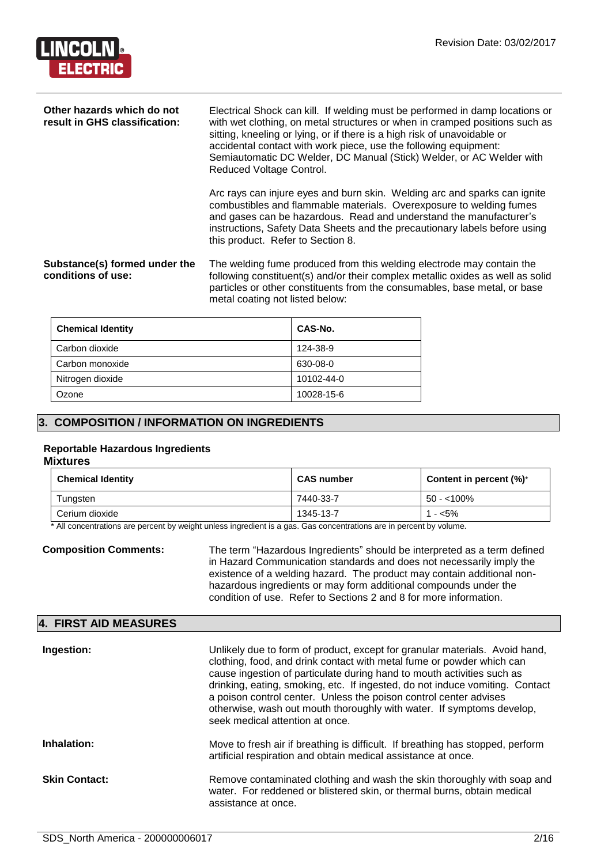

| Other hazards which do not<br>result in GHS classification: | Electrical Shock can kill. If welding must be performed in damp locations or<br>with wet clothing, on metal structures or when in cramped positions such as<br>sitting, kneeling or lying, or if there is a high risk of unavoidable or<br>accidental contact with work piece, use the following equipment:<br>Semiautomatic DC Welder, DC Manual (Stick) Welder, or AC Welder with<br>Reduced Voltage Control. |  |
|-------------------------------------------------------------|-----------------------------------------------------------------------------------------------------------------------------------------------------------------------------------------------------------------------------------------------------------------------------------------------------------------------------------------------------------------------------------------------------------------|--|
|                                                             | Arc rays can injure eyes and burn skin. Welding arc and sparks can ignite<br>combustibles and flammable materials. Overexposure to welding fumes<br>and gases can be hazardous. Read and understand the manufacturer's<br>instructions, Safety Data Sheets and the precautionary labels before using<br>this product. Refer to Section 8.                                                                       |  |
| Substance(s) formed under the<br>conditions of use:         | The welding fume produced from this welding electrode may contain the<br>following constituent(s) and/or their complex metallic oxides as well as solid<br>particles or other constituents from the consumables, base metal, or base<br>metal coating not listed below:                                                                                                                                         |  |

| <b>Chemical Identity</b> | CAS-No.    |
|--------------------------|------------|
| Carbon dioxide           | 124-38-9   |
| Carbon monoxide          | 630-08-0   |
| Nitrogen dioxide         | 10102-44-0 |
| Ozone                    | 10028-15-6 |

# **3. COMPOSITION / INFORMATION ON INGREDIENTS**

#### **Reportable Hazardous Ingredients**

#### **Mixtures**

| <b>Chemical Identity</b> | <b>CAS number</b> | Content in percent $(\%)^*$ |
|--------------------------|-------------------|-----------------------------|
| Tungsten                 | 7440-33-7         | 50 - <100%                  |
| Cerium dioxide           | 1345-13-7         | - <5%                       |

\* All concentrations are percent by weight unless ingredient is a gas. Gas concentrations are in percent by volume.

**Composition Comments:** The term "Hazardous Ingredients" should be interpreted as a term defined in Hazard Communication standards and does not necessarily imply the existence of a welding hazard. The product may contain additional nonhazardous ingredients or may form additional compounds under the condition of use. Refer to Sections 2 and 8 for more information.

# **4. FIRST AID MEASURES**

| Ingestion:           | Unlikely due to form of product, except for granular materials. Avoid hand,<br>clothing, food, and drink contact with metal fume or powder which can<br>cause ingestion of particulate during hand to mouth activities such as<br>drinking, eating, smoking, etc. If ingested, do not induce vomiting. Contact<br>a poison control center. Unless the poison control center advises<br>otherwise, wash out mouth thoroughly with water. If symptoms develop,<br>seek medical attention at once. |
|----------------------|-------------------------------------------------------------------------------------------------------------------------------------------------------------------------------------------------------------------------------------------------------------------------------------------------------------------------------------------------------------------------------------------------------------------------------------------------------------------------------------------------|
| Inhalation:          | Move to fresh air if breathing is difficult. If breathing has stopped, perform<br>artificial respiration and obtain medical assistance at once.                                                                                                                                                                                                                                                                                                                                                 |
| <b>Skin Contact:</b> | Remove contaminated clothing and wash the skin thoroughly with soap and<br>water. For reddened or blistered skin, or thermal burns, obtain medical<br>assistance at once.                                                                                                                                                                                                                                                                                                                       |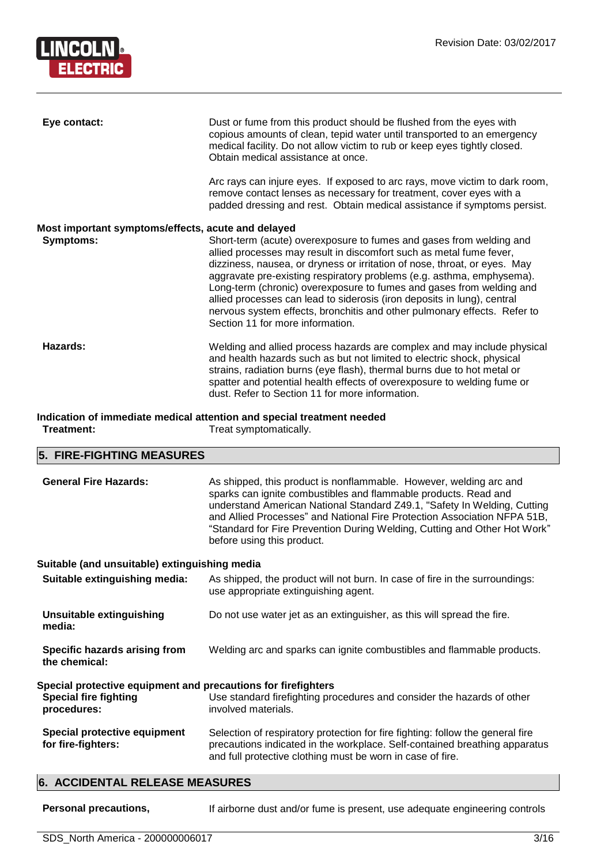

| Eye contact:                                                                                                   | Dust or fume from this product should be flushed from the eyes with<br>copious amounts of clean, tepid water until transported to an emergency<br>medical facility. Do not allow victim to rub or keep eyes tightly closed.<br>Obtain medical assistance at once.                                                                                                                                                                                                                                                                                                   |  |
|----------------------------------------------------------------------------------------------------------------|---------------------------------------------------------------------------------------------------------------------------------------------------------------------------------------------------------------------------------------------------------------------------------------------------------------------------------------------------------------------------------------------------------------------------------------------------------------------------------------------------------------------------------------------------------------------|--|
|                                                                                                                | Arc rays can injure eyes. If exposed to arc rays, move victim to dark room,<br>remove contact lenses as necessary for treatment, cover eyes with a<br>padded dressing and rest. Obtain medical assistance if symptoms persist.                                                                                                                                                                                                                                                                                                                                      |  |
| Most important symptoms/effects, acute and delayed<br>Symptoms:                                                | Short-term (acute) overexposure to fumes and gases from welding and<br>allied processes may result in discomfort such as metal fume fever,<br>dizziness, nausea, or dryness or irritation of nose, throat, or eyes. May<br>aggravate pre-existing respiratory problems (e.g. asthma, emphysema).<br>Long-term (chronic) overexposure to fumes and gases from welding and<br>allied processes can lead to siderosis (iron deposits in lung), central<br>nervous system effects, bronchitis and other pulmonary effects. Refer to<br>Section 11 for more information. |  |
| Hazards:                                                                                                       | Welding and allied process hazards are complex and may include physical<br>and health hazards such as but not limited to electric shock, physical<br>strains, radiation burns (eye flash), thermal burns due to hot metal or<br>spatter and potential health effects of overexposure to welding fume or<br>dust. Refer to Section 11 for more information.                                                                                                                                                                                                          |  |
| Indication of immediate medical attention and special treatment needed<br>Treatment:<br>Treat symptomatically. |                                                                                                                                                                                                                                                                                                                                                                                                                                                                                                                                                                     |  |

# **5. FIRE-FIGHTING MEASURES**

| <b>6. ACCIDENTAL RELEASE MEASURES</b>                                                                                                                                                                         |                                                                                                                                                                                                                                                                                                                                                                                                          |  |
|---------------------------------------------------------------------------------------------------------------------------------------------------------------------------------------------------------------|----------------------------------------------------------------------------------------------------------------------------------------------------------------------------------------------------------------------------------------------------------------------------------------------------------------------------------------------------------------------------------------------------------|--|
| Special protective equipment<br>for fire-fighters:                                                                                                                                                            | Selection of respiratory protection for fire fighting: follow the general fire<br>precautions indicated in the workplace. Self-contained breathing apparatus<br>and full protective clothing must be worn in case of fire.                                                                                                                                                                               |  |
| Special protective equipment and precautions for firefighters<br><b>Special fire fighting</b><br>Use standard firefighting procedures and consider the hazards of other<br>involved materials.<br>procedures: |                                                                                                                                                                                                                                                                                                                                                                                                          |  |
| Specific hazards arising from<br>the chemical:                                                                                                                                                                | Welding arc and sparks can ignite combustibles and flammable products.                                                                                                                                                                                                                                                                                                                                   |  |
| <b>Unsuitable extinguishing</b><br>media:                                                                                                                                                                     | Do not use water jet as an extinguisher, as this will spread the fire.                                                                                                                                                                                                                                                                                                                                   |  |
| Suitable extinguishing media:                                                                                                                                                                                 | As shipped, the product will not burn. In case of fire in the surroundings:<br>use appropriate extinguishing agent.                                                                                                                                                                                                                                                                                      |  |
| Suitable (and unsuitable) extinguishing media                                                                                                                                                                 |                                                                                                                                                                                                                                                                                                                                                                                                          |  |
| <b>General Fire Hazards:</b>                                                                                                                                                                                  | As shipped, this product is nonflammable. However, welding arc and<br>sparks can ignite combustibles and flammable products. Read and<br>understand American National Standard Z49.1, "Safety In Welding, Cutting<br>and Allied Processes" and National Fire Protection Association NFPA 51B,<br>"Standard for Fire Prevention During Welding, Cutting and Other Hot Work"<br>before using this product. |  |
|                                                                                                                                                                                                               |                                                                                                                                                                                                                                                                                                                                                                                                          |  |

Personal precautions, **If airborne dust and/or fume is present**, use adequate engineering controls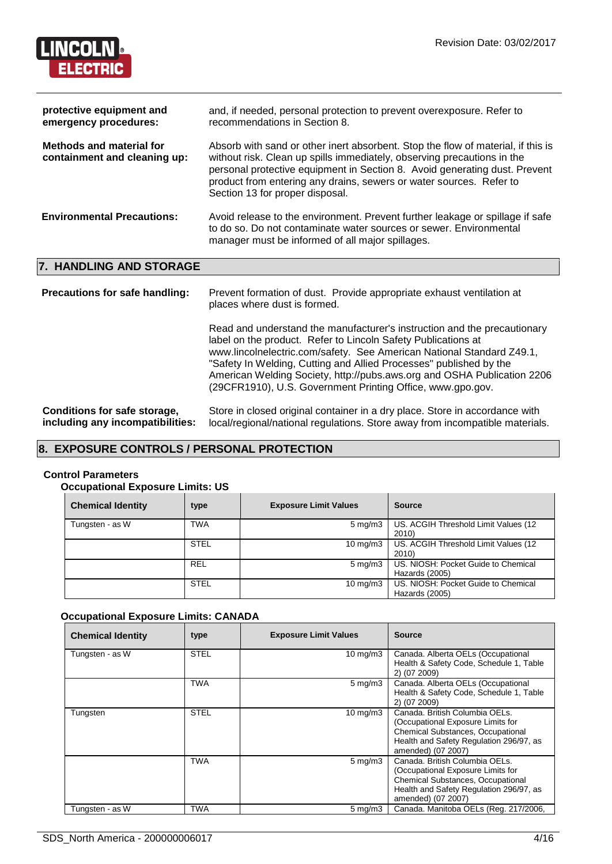

| protective equipment and<br>emergency procedures:               | and, if needed, personal protection to prevent overexposure. Refer to<br>recommendations in Section 8.                                                                                                                                                                                                                                              |
|-----------------------------------------------------------------|-----------------------------------------------------------------------------------------------------------------------------------------------------------------------------------------------------------------------------------------------------------------------------------------------------------------------------------------------------|
| <b>Methods and material for</b><br>containment and cleaning up: | Absorb with sand or other inert absorbent. Stop the flow of material, if this is<br>without risk. Clean up spills immediately, observing precautions in the<br>personal protective equipment in Section 8. Avoid generating dust. Prevent<br>product from entering any drains, sewers or water sources. Refer to<br>Section 13 for proper disposal. |
| <b>Environmental Precautions:</b>                               | Avoid release to the environment. Prevent further leakage or spillage if safe<br>to do so. Do not contaminate water sources or sewer. Environmental<br>manager must be informed of all major spillages.                                                                                                                                             |

# **7. HANDLING AND STORAGE**

| <b>Precautions for safe handling:</b>                            | Prevent formation of dust. Provide appropriate exhaust ventilation at<br>places where dust is formed.                                                                                                                                                                                                                                                                                                                             |
|------------------------------------------------------------------|-----------------------------------------------------------------------------------------------------------------------------------------------------------------------------------------------------------------------------------------------------------------------------------------------------------------------------------------------------------------------------------------------------------------------------------|
|                                                                  | Read and understand the manufacturer's instruction and the precautionary<br>label on the product. Refer to Lincoln Safety Publications at<br>www.lincolnelectric.com/safety. See American National Standard Z49.1,<br>"Safety In Welding, Cutting and Allied Processes" published by the<br>American Welding Society, http://pubs.aws.org and OSHA Publication 2206<br>(29CFR1910), U.S. Government Printing Office, www.gpo.gov. |
| Conditions for safe storage,<br>including any incompatibilities: | Store in closed original container in a dry place. Store in accordance with<br>local/regional/national regulations. Store away from incompatible materials.                                                                                                                                                                                                                                                                       |

# **8. EXPOSURE CONTROLS / PERSONAL PROTECTION**

### **Control Parameters**

# **Occupational Exposure Limits: US**

| <b>Chemical Identity</b> | type        | <b>Exposure Limit Values</b> | <b>Source</b>                                         |
|--------------------------|-------------|------------------------------|-------------------------------------------------------|
| Tungsten - as W          | <b>TWA</b>  | $5 \text{ mg/m}$             | US. ACGIH Threshold Limit Values (12<br>2010)         |
|                          | <b>STEL</b> | $10 \text{ mg/m}$            | US. ACGIH Threshold Limit Values (12<br>2010)         |
|                          | <b>REL</b>  | $5 \,\mathrm{mq/m}$ 3        | US. NIOSH: Pocket Guide to Chemical<br>Hazards (2005) |
|                          | <b>STEL</b> | $10 \text{ mg/m}$            | US. NIOSH: Pocket Guide to Chemical<br>Hazards (2005) |

# **Occupational Exposure Limits: CANADA**

| <b>Chemical Identity</b> | type        | <b>Exposure Limit Values</b> | <b>Source</b>                                                                                                                                                             |
|--------------------------|-------------|------------------------------|---------------------------------------------------------------------------------------------------------------------------------------------------------------------------|
| Tungsten - as W          | <b>STEL</b> | $10 \text{ mg/m}$            | Canada. Alberta OELs (Occupational<br>Health & Safety Code, Schedule 1, Table<br>2) (07 2009)                                                                             |
|                          | <b>TWA</b>  | $5 \,\mathrm{mq/m}$ 3        | Canada. Alberta OELs (Occupational<br>Health & Safety Code, Schedule 1, Table<br>2) (07 2009)                                                                             |
| Tungsten                 | <b>STEL</b> | $10 \text{ mg/m}$            | Canada, British Columbia OELs.<br>(Occupational Exposure Limits for<br>Chemical Substances, Occupational<br>Health and Safety Regulation 296/97, as<br>amended) (07 2007) |
|                          | <b>TWA</b>  | $5 \text{ mg/m}$             | Canada, British Columbia OELs.<br>(Occupational Exposure Limits for<br>Chemical Substances, Occupational<br>Health and Safety Regulation 296/97, as<br>amended) (07 2007) |
| Tungsten - as W          | TWA         | $5 \,\mathrm{mg/m}$          | Canada. Manitoba OELs (Reg. 217/2006,                                                                                                                                     |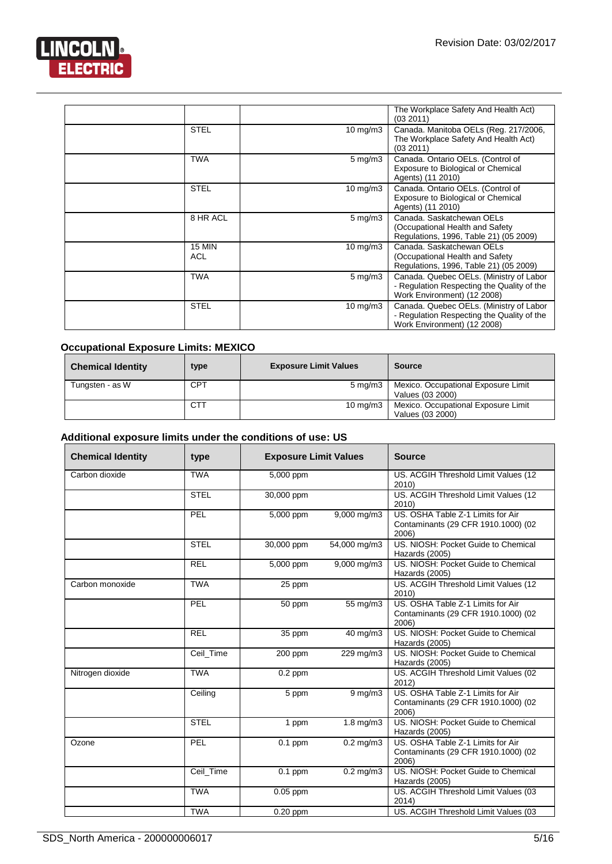

|                      |                     | The Workplace Safety And Health Act)<br>(03 2011)                                                                    |
|----------------------|---------------------|----------------------------------------------------------------------------------------------------------------------|
| <b>STEL</b>          | $10 \text{ mg/m}$   | Canada. Manitoba OELs (Reg. 217/2006,<br>The Workplace Safety And Health Act)<br>(03 2011)                           |
| <b>TWA</b>           | $5 \,\mathrm{mg/m}$ | Canada. Ontario OELs. (Control of<br>Exposure to Biological or Chemical<br>Agents) (11 2010)                         |
| <b>STEL</b>          | $10 \text{ mg/m}$   | Canada. Ontario OELs. (Control of<br>Exposure to Biological or Chemical<br>Agents) (11 2010)                         |
| 8 HR ACL             | $5 \,\mathrm{mg/m}$ | Canada, Saskatchewan OELs<br>(Occupational Health and Safety<br>Regulations, 1996, Table 21) (05 2009)               |
| <b>15 MIN</b><br>ACL | $10 \text{ mg/m}$   | Canada, Saskatchewan OELs<br>(Occupational Health and Safety<br>Regulations, 1996, Table 21) (05 2009)               |
| <b>TWA</b>           | $5 \,\mathrm{mg/m}$ | Canada. Quebec OELs. (Ministry of Labor<br>- Regulation Respecting the Quality of the<br>Work Environment) (12 2008) |
| <b>STEL</b>          | $10 \text{ mg/m}$   | Canada. Quebec OELs. (Ministry of Labor<br>- Regulation Respecting the Quality of the<br>Work Environment) (12 2008) |

# **Occupational Exposure Limits: MEXICO**

| <b>Chemical Identity</b> | type       | <b>Exposure Limit Values</b> | <b>Source</b>                                           |
|--------------------------|------------|------------------------------|---------------------------------------------------------|
| Tungsten - as W          | <b>CPT</b> | $5 \text{ ma/m}$ 3           | Mexico. Occupational Exposure Limit<br>Values (03 2000) |
|                          | CTT        | $10 \text{ ma/m}$ 3          | Mexico. Occupational Exposure Limit<br>Values (03 2000) |

# **Additional exposure limits under the conditions of use: US**

| <b>Chemical Identity</b> | type        | <b>Exposure Limit Values</b> |                     | <b>Source</b>                                                                     |
|--------------------------|-------------|------------------------------|---------------------|-----------------------------------------------------------------------------------|
| Carbon dioxide           | <b>TWA</b>  | 5,000 ppm                    |                     | US. ACGIH Threshold Limit Values (12<br>2010)                                     |
|                          | <b>STEL</b> | 30,000 ppm                   |                     | US. ACGIH Threshold Limit Values (12<br>2010)                                     |
|                          | PEL         | 5,000 ppm                    | 9,000 mg/m3         | US. OSHA Table Z-1 Limits for Air<br>Contaminants (29 CFR 1910.1000) (02<br>2006) |
|                          | <b>STEL</b> | 30,000 ppm                   | 54,000 mg/m3        | US. NIOSH: Pocket Guide to Chemical<br>Hazards (2005)                             |
|                          | <b>REL</b>  | 5,000 ppm                    | 9,000 mg/m3         | US. NIOSH: Pocket Guide to Chemical<br>Hazards (2005)                             |
| Carbon monoxide          | <b>TWA</b>  | 25 ppm                       |                     | US. ACGIH Threshold Limit Values (12<br>2010)                                     |
|                          | PEL         | 50 ppm                       | 55 mg/m3            | US. OSHA Table Z-1 Limits for Air<br>Contaminants (29 CFR 1910.1000) (02<br>2006) |
|                          | <b>REL</b>  | 35 ppm                       | 40 mg/m3            | US. NIOSH: Pocket Guide to Chemical<br>Hazards (2005)                             |
|                          | Ceil_Time   | 200 ppm                      | 229 mg/m3           | US. NIOSH: Pocket Guide to Chemical<br>Hazards (2005)                             |
| Nitrogen dioxide         | <b>TWA</b>  | $0.2$ ppm                    |                     | US. ACGIH Threshold Limit Values (02<br>2012)                                     |
|                          | Ceiling     | 5 ppm                        | $9 \,\mathrm{mg/m}$ | US. OSHA Table Z-1 Limits for Air<br>Contaminants (29 CFR 1910.1000) (02<br>2006) |
|                          | <b>STEL</b> | 1 ppm                        | $1.8$ mg/m $3$      | US. NIOSH: Pocket Guide to Chemical<br>Hazards (2005)                             |
| Ozone                    | PEL         | $0.1$ ppm                    | $0.2$ mg/m $3$      | US. OSHA Table Z-1 Limits for Air<br>Contaminants (29 CFR 1910.1000) (02<br>2006) |
|                          | Ceil_Time   | $\overline{0.1}$ ppm         | $0.2$ mg/m $3$      | US. NIOSH: Pocket Guide to Chemical<br>Hazards (2005)                             |
|                          | <b>TWA</b>  | $0.05$ ppm                   |                     | US. ACGIH Threshold Limit Values (03<br>2014)                                     |
|                          | <b>TWA</b>  | $0.20$ ppm                   |                     | US. ACGIH Threshold Limit Values (03                                              |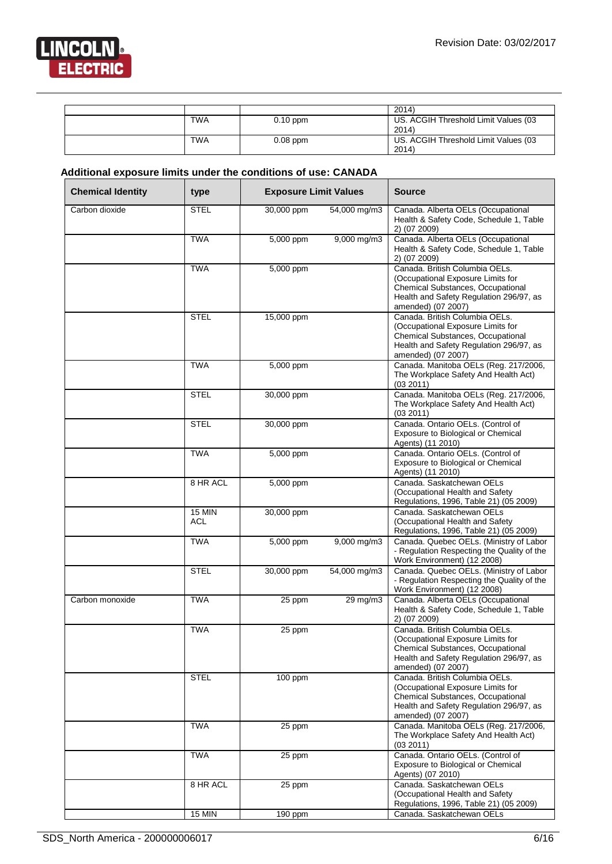

|            |            | 2014)                                         |
|------------|------------|-----------------------------------------------|
| <b>TWA</b> | $0.10$ ppm | US. ACGIH Threshold Limit Values (03<br>2014) |
| <b>TWA</b> | $0.08$ ppm | US. ACGIH Threshold Limit Values (03<br>2014) |

# **Additional exposure limits under the conditions of use: CANADA**

| <b>Chemical Identity</b> | type                       | <b>Exposure Limit Values</b> |              | <b>Source</b>                                                                                                                                                             |
|--------------------------|----------------------------|------------------------------|--------------|---------------------------------------------------------------------------------------------------------------------------------------------------------------------------|
| Carbon dioxide           | <b>STEL</b>                | 30,000 ppm                   | 54,000 mg/m3 | Canada. Alberta OELs (Occupational<br>Health & Safety Code, Schedule 1, Table<br>2) (07 2009)                                                                             |
|                          | <b>TWA</b>                 | 5,000 ppm                    | 9,000 mg/m3  | Canada. Alberta OELs (Occupational<br>Health & Safety Code, Schedule 1, Table<br>2) (07 2009)                                                                             |
|                          | <b>TWA</b>                 | 5,000 ppm                    |              | Canada, British Columbia OELs.<br>(Occupational Exposure Limits for<br>Chemical Substances, Occupational<br>Health and Safety Regulation 296/97, as<br>amended) (07 2007) |
|                          | <b>STEL</b>                | 15,000 ppm                   |              | Canada, British Columbia OELs.<br>(Occupational Exposure Limits for<br>Chemical Substances, Occupational<br>Health and Safety Regulation 296/97, as<br>amended) (07 2007) |
|                          | <b>TWA</b>                 | 5,000 ppm                    |              | Canada. Manitoba OELs (Reg. 217/2006,<br>The Workplace Safety And Health Act)<br>(03 2011)                                                                                |
|                          | <b>STEL</b>                | 30,000 ppm                   |              | Canada. Manitoba OELs (Reg. 217/2006,<br>The Workplace Safety And Health Act)<br>(03 2011)                                                                                |
|                          | <b>STEL</b>                | 30,000 ppm                   |              | Canada. Ontario OELs. (Control of<br>Exposure to Biological or Chemical<br>Agents) (11 2010)                                                                              |
|                          | <b>TWA</b>                 | 5,000 ppm                    |              | Canada. Ontario OELs. (Control of<br>Exposure to Biological or Chemical<br>Agents) (11 2010)                                                                              |
|                          | 8 HR ACL                   | 5,000 ppm                    |              | Canada. Saskatchewan OELs<br>(Occupational Health and Safety<br>Regulations, 1996, Table 21) (05 2009)                                                                    |
|                          | $\overline{15}$ MIN<br>ACL | 30,000 ppm                   |              | Canada, Saskatchewan OELs<br>(Occupational Health and Safety<br>Regulations, 1996, Table 21) (05 2009)                                                                    |
|                          | TWA                        | 5,000 ppm                    | 9,000 mg/m3  | Canada. Quebec OELs. (Ministry of Labor<br>- Regulation Respecting the Quality of the<br>Work Environment) (12 2008)                                                      |
|                          | <b>STEL</b>                | 30,000 ppm                   | 54,000 mg/m3 | Canada. Quebec OELs. (Ministry of Labor<br>- Regulation Respecting the Quality of the<br>Work Environment) (12 2008)                                                      |
| Carbon monoxide          | <b>TWA</b>                 | 25 ppm                       | 29 mg/m3     | Canada. Alberta OELs (Occupational<br>Health & Safety Code, Schedule 1, Table<br>2) (07 2009)                                                                             |
|                          | <b>TWA</b>                 | 25 ppm                       |              | Canada. British Columbia OELs.<br>(Occupational Exposure Limits for<br>Chemical Substances, Occupational<br>Health and Safety Regulation 296/97, as<br>amended) (07 2007) |
|                          | <b>STEL</b>                | 100 ppm                      |              | Canada. British Columbia OELs.<br>(Occupational Exposure Limits for<br>Chemical Substances, Occupational<br>Health and Safety Regulation 296/97, as<br>amended) (07 2007) |
|                          | <b>TWA</b>                 | 25 ppm                       |              | Canada. Manitoba OELs (Reg. 217/2006,<br>The Workplace Safety And Health Act)<br>(03 2011)                                                                                |
|                          | <b>TWA</b>                 | 25 ppm                       |              | Canada. Ontario OELs. (Control of<br>Exposure to Biological or Chemical<br>Agents) (07 2010)                                                                              |
|                          | 8 HR ACL                   | 25 ppm                       |              | Canada. Saskatchewan OELs<br>(Occupational Health and Safety<br>Regulations, 1996, Table 21) (05 2009)                                                                    |
|                          | <b>15 MIN</b>              | $190$ ppm                    |              | Canada. Saskatchewan OELs                                                                                                                                                 |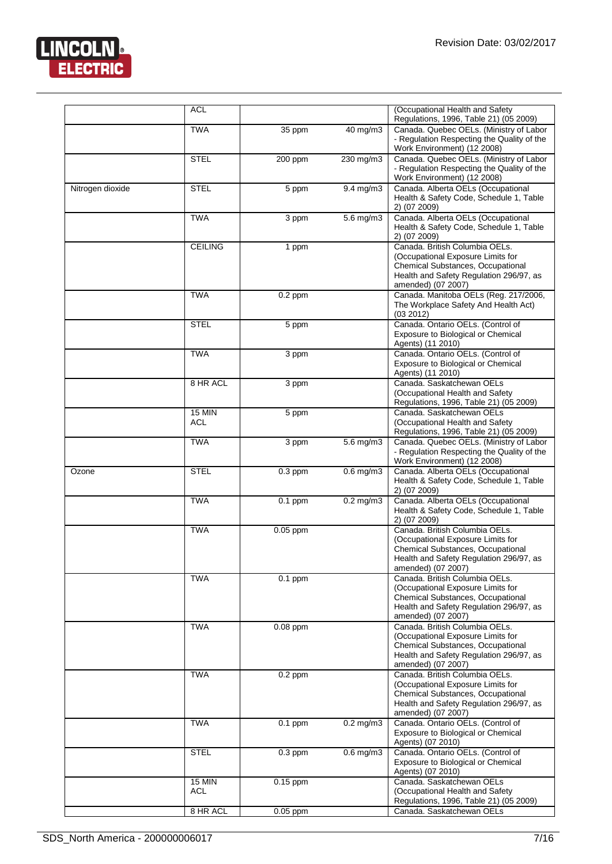

|                  | <b>ACL</b>                  |            |                       | (Occupational Health and Safety<br>Regulations, 1996, Table 21) (05 2009)                                                                                                 |
|------------------|-----------------------------|------------|-----------------------|---------------------------------------------------------------------------------------------------------------------------------------------------------------------------|
|                  | <b>TWA</b>                  | 35 ppm     | 40 mg/m3              | Canada. Quebec OELs. (Ministry of Labor<br>- Regulation Respecting the Quality of the<br>Work Environment) (12 2008)                                                      |
|                  | <b>STEL</b>                 | 200 ppm    | 230 mg/m3             | Canada. Quebec OELs. (Ministry of Labor<br>- Regulation Respecting the Quality of the<br>Work Environment) (12 2008)                                                      |
| Nitrogen dioxide | <b>STEL</b>                 | 5 ppm      | $9.4$ mg/m $3$        | Canada. Alberta OELs (Occupational<br>Health & Safety Code, Schedule 1, Table<br>2) (07 2009)                                                                             |
|                  | <b>TWA</b>                  | 3 ppm      | $5.6$ mg/m $3$        | Canada. Alberta OELs (Occupational<br>Health & Safety Code, Schedule 1, Table<br>2) (07 2009)                                                                             |
|                  | <b>CEILING</b>              | 1 ppm      |                       | Canada. British Columbia OELs.<br>(Occupational Exposure Limits for<br>Chemical Substances, Occupational<br>Health and Safety Regulation 296/97, as<br>amended) (07 2007) |
|                  | <b>TWA</b>                  | $0.2$ ppm  |                       | Canada. Manitoba OELs (Reg. 217/2006,<br>The Workplace Safety And Health Act)<br>(03 2012)                                                                                |
|                  | <b>STEL</b>                 | 5 ppm      |                       | Canada. Ontario OELs. (Control of<br>Exposure to Biological or Chemical<br>Agents) (11 2010)                                                                              |
|                  | <b>TWA</b>                  | 3 ppm      |                       | Canada. Ontario OELs. (Control of<br>Exposure to Biological or Chemical<br>Agents) (11 2010)                                                                              |
|                  | 8 HR ACL                    | 3 ppm      |                       | Canada. Saskatchewan OELs<br>(Occupational Health and Safety<br>Regulations, 1996, Table 21) (05 2009)                                                                    |
|                  | <b>15 MIN</b><br><b>ACL</b> | 5 ppm      |                       | Canada, Saskatchewan OELs<br>(Occupational Health and Safety<br>Regulations, 1996, Table 21) (05 2009)                                                                    |
|                  | <b>TWA</b>                  | 3 ppm      | $5.6 \,\mathrm{mg/m}$ | Canada. Quebec OELs. (Ministry of Labor<br>- Regulation Respecting the Quality of the<br>Work Environment) (12 2008)                                                      |
| Ozone            | <b>STEL</b>                 | $0.3$ ppm  | $0.6$ mg/m $3$        | Canada. Alberta OELs (Occupational<br>Health & Safety Code, Schedule 1, Table<br>2) (07 2009)                                                                             |
|                  | <b>TWA</b>                  | $0.1$ ppm  | $0.2$ mg/m $3$        | Canada. Alberta OELs (Occupational<br>Health & Safety Code, Schedule 1, Table<br>2) (07 2009)                                                                             |
|                  | <b>TWA</b>                  | $0.05$ ppm |                       | Canada. British Columbia OELs.<br>(Occupational Exposure Limits for<br>Chemical Substances, Occupational<br>Health and Safety Regulation 296/97, as<br>amended) (07 2007) |
|                  | <b>TWA</b>                  | $0.1$ ppm  |                       | Canada. British Columbia OELs.<br>(Occupational Exposure Limits for<br>Chemical Substances, Occupational<br>Health and Safety Regulation 296/97, as<br>amended) (07 2007) |
|                  | <b>TWA</b>                  | $0.08$ ppm |                       | Canada. British Columbia OELs.<br>(Occupational Exposure Limits for<br>Chemical Substances, Occupational<br>Health and Safety Regulation 296/97, as<br>amended) (07 2007) |
|                  | <b>TWA</b>                  | $0.2$ ppm  |                       | Canada. British Columbia OELs.<br>(Occupational Exposure Limits for<br>Chemical Substances, Occupational<br>Health and Safety Regulation 296/97, as<br>amended) (07 2007) |
|                  | <b>TWA</b>                  | $0.1$ ppm  | $0.2$ mg/m $3$        | Canada. Ontario OELs. (Control of<br>Exposure to Biological or Chemical<br>Agents) (07 2010)                                                                              |
|                  | <b>STEL</b>                 | $0.3$ ppm  | $0.6$ mg/m $3$        | Canada. Ontario OELs. (Control of<br>Exposure to Biological or Chemical<br>Agents) (07 2010)                                                                              |
|                  | <b>15 MIN</b><br><b>ACL</b> | $0.15$ ppm |                       | Canada. Saskatchewan OELs<br>(Occupational Health and Safety<br>Regulations, 1996, Table 21) (05 2009)                                                                    |
|                  | 8 HR ACL                    | 0.05 ppm   |                       | Canada. Saskatchewan OELs                                                                                                                                                 |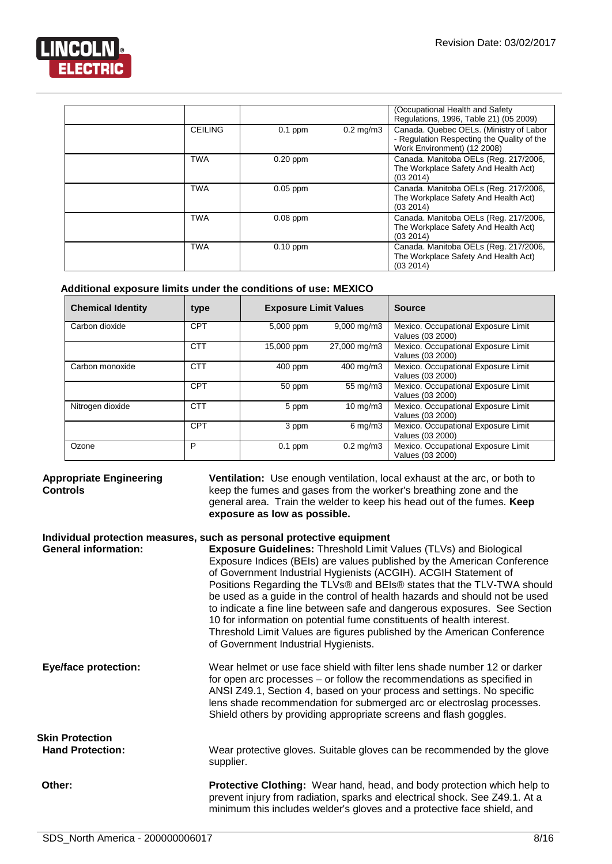

|                |            |                      | (Occupational Health and Safety<br>Regulations, 1996, Table 21) (05 2009)                                            |
|----------------|------------|----------------------|----------------------------------------------------------------------------------------------------------------------|
| <b>CEILING</b> | $0.1$ ppm  | $0.2 \text{ mg/m}$ 3 | Canada. Quebec OELs. (Ministry of Labor<br>- Regulation Respecting the Quality of the<br>Work Environment) (12 2008) |
| <b>TWA</b>     | $0.20$ ppm |                      | Canada. Manitoba OELs (Reg. 217/2006,<br>The Workplace Safety And Health Act)<br>(03 2014)                           |
| <b>TWA</b>     | $0.05$ ppm |                      | Canada. Manitoba OELs (Reg. 217/2006,<br>The Workplace Safety And Health Act)<br>(03 2014)                           |
| <b>TWA</b>     | $0.08$ ppm |                      | Canada. Manitoba OELs (Reg. 217/2006,<br>The Workplace Safety And Health Act)<br>(03 2014)                           |
| <b>TWA</b>     | $0.10$ ppm |                      | Canada. Manitoba OELs (Reg. 217/2006,<br>The Workplace Safety And Health Act)<br>(03 2014)                           |

# **Additional exposure limits under the conditions of use: MEXICO**

| <b>Chemical Identity</b> | type       | <b>Exposure Limit Values</b> |                         | <b>Source</b>                                           |
|--------------------------|------------|------------------------------|-------------------------|---------------------------------------------------------|
| Carbon dioxide           | CPT        | 5,000 ppm                    | $9,000 \,\mathrm{mg/m}$ | Mexico. Occupational Exposure Limit<br>Values (03 2000) |
|                          | <b>CTT</b> | 15,000 ppm                   | 27,000 mg/m3            | Mexico. Occupational Exposure Limit<br>Values (03 2000) |
| Carbon monoxide          | CTT        | 400 ppm                      | 400 mg/m3               | Mexico. Occupational Exposure Limit<br>Values (03 2000) |
|                          | <b>CPT</b> | 50 ppm                       | 55 mg/m3                | Mexico. Occupational Exposure Limit<br>Values (03 2000) |
| Nitrogen dioxide         | <b>CTT</b> | 5 ppm                        | $10 \text{ mg/m}$       | Mexico. Occupational Exposure Limit<br>Values (03 2000) |
|                          | <b>CPT</b> | 3 ppm                        | $6 \,\mathrm{mq/m}$ 3   | Mexico. Occupational Exposure Limit<br>Values (03 2000) |
| Ozone                    | P          | $0.1$ ppm                    | $0.2 \text{ mg/m}$ 3    | Mexico. Occupational Exposure Limit<br>Values (03 2000) |

# **Appropriate Engineering Controls**

**Ventilation:** Use enough ventilation, local exhaust at the arc, or both to keep the fumes and gases from the worker's breathing zone and the general area. Train the welder to keep his head out of the fumes. **Keep exposure as low as possible.**

# **Individual protection measures, such as personal protective equipment**

| <b>General information:</b> | <b>Exposure Guidelines: Threshold Limit Values (TLVs) and Biological</b><br>Exposure Indices (BEIs) are values published by the American Conference<br>of Government Industrial Hygienists (ACGIH). ACGIH Statement of<br>Positions Regarding the TLVs® and BEIs® states that the TLV-TWA should<br>be used as a guide in the control of health hazards and should not be used<br>to indicate a fine line between safe and dangerous exposures. See Section<br>10 for information on potential fume constituents of health interest.<br>Threshold Limit Values are figures published by the American Conference<br>of Government Industrial Hygienists. |
|-----------------------------|---------------------------------------------------------------------------------------------------------------------------------------------------------------------------------------------------------------------------------------------------------------------------------------------------------------------------------------------------------------------------------------------------------------------------------------------------------------------------------------------------------------------------------------------------------------------------------------------------------------------------------------------------------|
| <b>Eye/face protection:</b> | Wear helmet or use face shield with filter lens shade number 12 or darker<br>for open arc processes - or follow the recommendations as specified in<br>ANSI Z49.1, Section 4, based on your process and settings. No specific<br>lens shade recommendation for submerged arc or electroslag processes.<br>Shield others by providing appropriate screens and flash goggles.                                                                                                                                                                                                                                                                             |
| Skin Protection             |                                                                                                                                                                                                                                                                                                                                                                                                                                                                                                                                                                                                                                                         |
| <b>Hand Protection:</b>     | Wear protective gloves. Suitable gloves can be recommended by the glove<br>supplier.                                                                                                                                                                                                                                                                                                                                                                                                                                                                                                                                                                    |
| Other:                      | <b>Protective Clothing:</b> Wear hand, head, and body protection which help to<br>prevent injury from radiation, sparks and electrical shock. See Z49.1. At a<br>minimum this includes welder's gloves and a protective face shield, and                                                                                                                                                                                                                                                                                                                                                                                                                |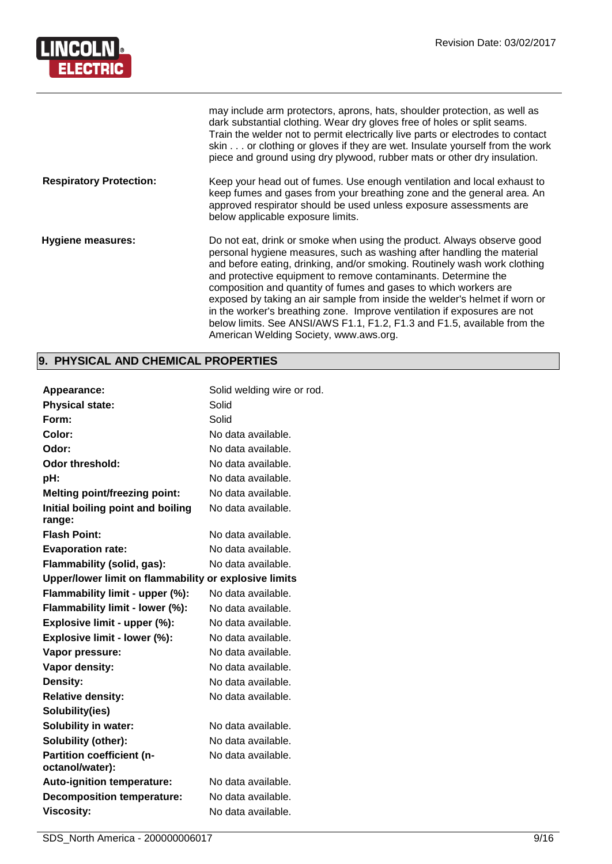

|                                | may include arm protectors, aprons, hats, shoulder protection, as well as<br>dark substantial clothing. Wear dry gloves free of holes or split seams.<br>Train the welder not to permit electrically live parts or electrodes to contact<br>skin or clothing or gloves if they are wet. Insulate yourself from the work<br>piece and ground using dry plywood, rubber mats or other dry insulation.                                                                                                                                                                                                                                                 |
|--------------------------------|-----------------------------------------------------------------------------------------------------------------------------------------------------------------------------------------------------------------------------------------------------------------------------------------------------------------------------------------------------------------------------------------------------------------------------------------------------------------------------------------------------------------------------------------------------------------------------------------------------------------------------------------------------|
| <b>Respiratory Protection:</b> | Keep your head out of fumes. Use enough ventilation and local exhaust to<br>keep fumes and gases from your breathing zone and the general area. An<br>approved respirator should be used unless exposure assessments are<br>below applicable exposure limits.                                                                                                                                                                                                                                                                                                                                                                                       |
| <b>Hygiene measures:</b>       | Do not eat, drink or smoke when using the product. Always observe good<br>personal hygiene measures, such as washing after handling the material<br>and before eating, drinking, and/or smoking. Routinely wash work clothing<br>and protective equipment to remove contaminants. Determine the<br>composition and quantity of fumes and gases to which workers are<br>exposed by taking an air sample from inside the welder's helmet if worn or<br>in the worker's breathing zone. Improve ventilation if exposures are not<br>below limits. See ANSI/AWS F1.1, F1.2, F1.3 and F1.5, available from the<br>American Welding Society, www.aws.org. |

# **9. PHYSICAL AND CHEMICAL PROPERTIES**

| <b>Appearance:</b>                                    | Solid welding wire or rod. |
|-------------------------------------------------------|----------------------------|
| <b>Physical state:</b>                                | Solid                      |
| Form:                                                 | Solid                      |
| Color:                                                | No data available.         |
| Odor:                                                 | No data available.         |
| Odor threshold:                                       | No data available.         |
| pH:                                                   | No data available.         |
| <b>Melting point/freezing point:</b>                  | No data available.         |
| Initial boiling point and boiling<br>range:           | No data available.         |
| <b>Flash Point:</b>                                   | No data available.         |
| <b>Evaporation rate:</b>                              | No data available.         |
| Flammability (solid, gas):                            | No data available.         |
| Upper/lower limit on flammability or explosive limits |                            |
| Flammability limit - upper (%):                       | No data available.         |
| Flammability limit - lower (%):                       | No data available.         |
| Explosive limit - upper (%):                          | No data available.         |
| Explosive limit - lower (%):                          | No data available.         |
| Vapor pressure:                                       | No data available.         |
| <b>Vapor density:</b>                                 | No data available.         |
| Density:                                              | No data available.         |
| <b>Relative density:</b>                              | No data available.         |
| Solubility(ies)                                       |                            |
| <b>Solubility in water:</b>                           | No data available.         |
| Solubility (other):                                   | No data available.         |
| <b>Partition coefficient (n-</b><br>octanol/water):   | No data available.         |
| <b>Auto-ignition temperature:</b>                     | No data available.         |
| <b>Decomposition temperature:</b>                     | No data available.         |
| <b>Viscosity:</b>                                     | No data available.         |
|                                                       |                            |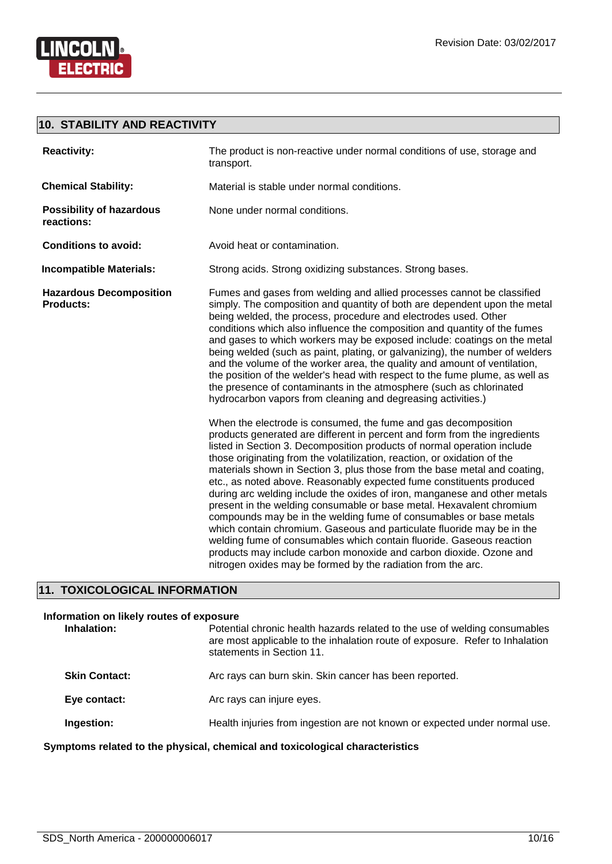

**LINCOLN** 

# **10. STABILITY AND REACTIVITY**

| <b>Reactivity:</b>                                 | The product is non-reactive under normal conditions of use, storage and<br>transport.                                                                                                                                                                                                                                                                                                                                                                                                                                                                                                                                                                                                                                                                                                                                                                                                                                                                                      |
|----------------------------------------------------|----------------------------------------------------------------------------------------------------------------------------------------------------------------------------------------------------------------------------------------------------------------------------------------------------------------------------------------------------------------------------------------------------------------------------------------------------------------------------------------------------------------------------------------------------------------------------------------------------------------------------------------------------------------------------------------------------------------------------------------------------------------------------------------------------------------------------------------------------------------------------------------------------------------------------------------------------------------------------|
| <b>Chemical Stability:</b>                         | Material is stable under normal conditions.                                                                                                                                                                                                                                                                                                                                                                                                                                                                                                                                                                                                                                                                                                                                                                                                                                                                                                                                |
| <b>Possibility of hazardous</b><br>reactions:      | None under normal conditions.                                                                                                                                                                                                                                                                                                                                                                                                                                                                                                                                                                                                                                                                                                                                                                                                                                                                                                                                              |
| <b>Conditions to avoid:</b>                        | Avoid heat or contamination.                                                                                                                                                                                                                                                                                                                                                                                                                                                                                                                                                                                                                                                                                                                                                                                                                                                                                                                                               |
| <b>Incompatible Materials:</b>                     | Strong acids. Strong oxidizing substances. Strong bases.                                                                                                                                                                                                                                                                                                                                                                                                                                                                                                                                                                                                                                                                                                                                                                                                                                                                                                                   |
| <b>Hazardous Decomposition</b><br><b>Products:</b> | Fumes and gases from welding and allied processes cannot be classified<br>simply. The composition and quantity of both are dependent upon the metal<br>being welded, the process, procedure and electrodes used. Other<br>conditions which also influence the composition and quantity of the fumes<br>and gases to which workers may be exposed include: coatings on the metal<br>being welded (such as paint, plating, or galvanizing), the number of welders<br>and the volume of the worker area, the quality and amount of ventilation,<br>the position of the welder's head with respect to the fume plume, as well as<br>the presence of contaminants in the atmosphere (such as chlorinated<br>hydrocarbon vapors from cleaning and degreasing activities.)                                                                                                                                                                                                        |
|                                                    | When the electrode is consumed, the fume and gas decomposition<br>products generated are different in percent and form from the ingredients<br>listed in Section 3. Decomposition products of normal operation include<br>those originating from the volatilization, reaction, or oxidation of the<br>materials shown in Section 3, plus those from the base metal and coating,<br>etc., as noted above. Reasonably expected fume constituents produced<br>during arc welding include the oxides of iron, manganese and other metals<br>present in the welding consumable or base metal. Hexavalent chromium<br>compounds may be in the welding fume of consumables or base metals<br>which contain chromium. Gaseous and particulate fluoride may be in the<br>welding fume of consumables which contain fluoride. Gaseous reaction<br>products may include carbon monoxide and carbon dioxide. Ozone and<br>nitrogen oxides may be formed by the radiation from the arc. |

# **11. TOXICOLOGICAL INFORMATION**

| Information on likely routes of exposure                                       |                                                                                                                                                                                         |
|--------------------------------------------------------------------------------|-----------------------------------------------------------------------------------------------------------------------------------------------------------------------------------------|
| Inhalation:                                                                    | Potential chronic health hazards related to the use of welding consumables<br>are most applicable to the inhalation route of exposure. Refer to Inhalation<br>statements in Section 11. |
| <b>Skin Contact:</b>                                                           | Arc rays can burn skin. Skin cancer has been reported.                                                                                                                                  |
| Eye contact:                                                                   | Arc rays can injure eyes.                                                                                                                                                               |
| Ingestion:                                                                     | Health injuries from ingestion are not known or expected under normal use.                                                                                                              |
| Ormantense veleted te the physical islamical and texteriorisal elementariation |                                                                                                                                                                                         |

**Symptoms related to the physical, chemical and toxicological characteristics**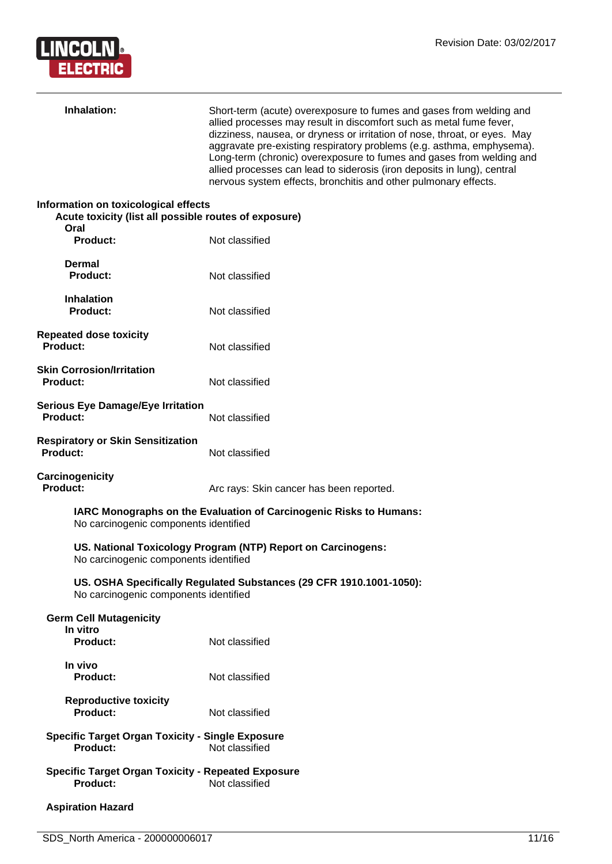

| Inhalation:                                                                                           | Short-term (acute) overexposure to fumes and gases from welding and<br>allied processes may result in discomfort such as metal fume fever,<br>dizziness, nausea, or dryness or irritation of nose, throat, or eyes. May<br>aggravate pre-existing respiratory problems (e.g. asthma, emphysema).<br>Long-term (chronic) overexposure to fumes and gases from welding and<br>allied processes can lead to siderosis (iron deposits in lung), central<br>nervous system effects, bronchitis and other pulmonary effects. |
|-------------------------------------------------------------------------------------------------------|------------------------------------------------------------------------------------------------------------------------------------------------------------------------------------------------------------------------------------------------------------------------------------------------------------------------------------------------------------------------------------------------------------------------------------------------------------------------------------------------------------------------|
| Information on toxicological effects<br>Acute toxicity (list all possible routes of exposure)<br>Oral |                                                                                                                                                                                                                                                                                                                                                                                                                                                                                                                        |
| Product:                                                                                              | Not classified                                                                                                                                                                                                                                                                                                                                                                                                                                                                                                         |
| <b>Dermal</b><br><b>Product:</b>                                                                      | Not classified                                                                                                                                                                                                                                                                                                                                                                                                                                                                                                         |
| <b>Inhalation</b><br><b>Product:</b>                                                                  | Not classified                                                                                                                                                                                                                                                                                                                                                                                                                                                                                                         |
| <b>Repeated dose toxicity</b><br><b>Product:</b>                                                      | Not classified                                                                                                                                                                                                                                                                                                                                                                                                                                                                                                         |
| <b>Skin Corrosion/Irritation</b><br>Product:                                                          | Not classified                                                                                                                                                                                                                                                                                                                                                                                                                                                                                                         |
| <b>Serious Eye Damage/Eye Irritation</b><br><b>Product:</b>                                           | Not classified                                                                                                                                                                                                                                                                                                                                                                                                                                                                                                         |
| <b>Respiratory or Skin Sensitization</b><br><b>Product:</b>                                           | Not classified                                                                                                                                                                                                                                                                                                                                                                                                                                                                                                         |
| <b>Carcinogenicity</b><br><b>Product:</b>                                                             | Arc rays: Skin cancer has been reported.                                                                                                                                                                                                                                                                                                                                                                                                                                                                               |
| No carcinogenic components identified                                                                 | IARC Monographs on the Evaluation of Carcinogenic Risks to Humans:                                                                                                                                                                                                                                                                                                                                                                                                                                                     |
| No carcinogenic components identified                                                                 | US. National Toxicology Program (NTP) Report on Carcinogens:                                                                                                                                                                                                                                                                                                                                                                                                                                                           |
| No carcinogenic components identified                                                                 | US. OSHA Specifically Regulated Substances (29 CFR 1910.1001-1050):                                                                                                                                                                                                                                                                                                                                                                                                                                                    |
| <b>Germ Cell Mutagenicity</b><br>In vitro<br><b>Product:</b>                                          | Not classified                                                                                                                                                                                                                                                                                                                                                                                                                                                                                                         |
| In vivo<br>Product:                                                                                   | Not classified                                                                                                                                                                                                                                                                                                                                                                                                                                                                                                         |
| <b>Reproductive toxicity</b><br><b>Product:</b>                                                       | Not classified                                                                                                                                                                                                                                                                                                                                                                                                                                                                                                         |
| <b>Specific Target Organ Toxicity - Single Exposure</b><br><b>Product:</b>                            | Not classified                                                                                                                                                                                                                                                                                                                                                                                                                                                                                                         |
| <b>Specific Target Organ Toxicity - Repeated Exposure</b><br><b>Product:</b>                          | Not classified                                                                                                                                                                                                                                                                                                                                                                                                                                                                                                         |
| <b>Aspiration Hazard</b>                                                                              |                                                                                                                                                                                                                                                                                                                                                                                                                                                                                                                        |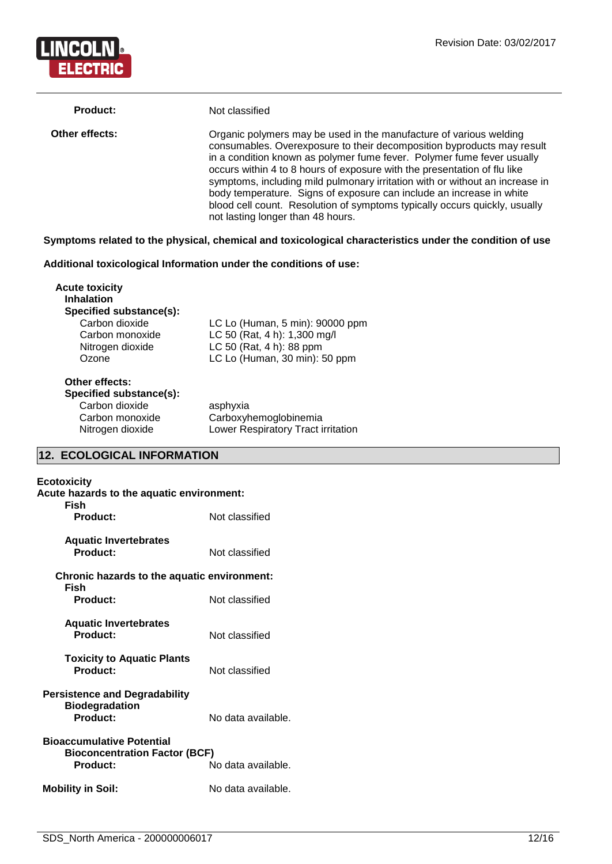

| <b>Product:</b> | Not classified                                                                                                                                                                                                                                                                                                                                                                                                                                                                                                                                                                |
|-----------------|-------------------------------------------------------------------------------------------------------------------------------------------------------------------------------------------------------------------------------------------------------------------------------------------------------------------------------------------------------------------------------------------------------------------------------------------------------------------------------------------------------------------------------------------------------------------------------|
| Other effects:  | Organic polymers may be used in the manufacture of various welding<br>consumables. Overexposure to their decomposition byproducts may result<br>in a condition known as polymer fume fever. Polymer fume fever usually<br>occurs within 4 to 8 hours of exposure with the presentation of flu like<br>symptoms, including mild pulmonary irritation with or without an increase in<br>body temperature. Signs of exposure can include an increase in white<br>blood cell count. Resolution of symptoms typically occurs quickly, usually<br>not lasting longer than 48 hours. |

# **Symptoms related to the physical, chemical and toxicological characteristics under the condition of use**

# **Additional toxicological Information under the conditions of use:**

| <b>Acute toxicity</b><br><b>Inhalation</b> |                                 |  |
|--------------------------------------------|---------------------------------|--|
| Specified substance(s):                    |                                 |  |
| Carbon dioxide                             | LC Lo (Human, 5 min): 90000 ppm |  |
| Carbon monoxide                            | LC 50 (Rat, 4 h): 1,300 mg/l    |  |
| Nitrogen dioxide                           | LC 50 (Rat, 4 h): 88 ppm        |  |
| Ozone                                      | LC Lo (Human, 30 min): 50 ppm   |  |
| Other effects:                             |                                 |  |
| Specified substance(s):                    |                                 |  |
| Carbon dioxide                             | asphyxia                        |  |

Carbon monoxide Carboxyhemoglobinemia

Nitrogen dioxide Lower Respiratory Tract irritation

# **12. ECOLOGICAL INFORMATION**

| Ecotoxicity<br>Acute hazards to the aquatic environment:<br>Fish                     |                    |
|--------------------------------------------------------------------------------------|--------------------|
| Product:                                                                             | Not classified     |
| <b>Aquatic Invertebrates</b><br><b>Product:</b>                                      | Not classified     |
| Chronic hazards to the aquatic environment:<br>Fish                                  |                    |
| <b>Product:</b>                                                                      | Not classified     |
| <b>Aquatic Invertebrates</b><br>Product:                                             | Not classified     |
| <b>Toxicity to Aquatic Plants</b><br>Product:                                        | Not classified     |
| <b>Persistence and Degradability</b><br><b>Biodegradation</b><br>Product:            | No data available. |
| <b>Bioaccumulative Potential</b><br><b>Bioconcentration Factor (BCF)</b><br>Product: | No data available. |
| <b>Mobility in Soil:</b>                                                             | No data available. |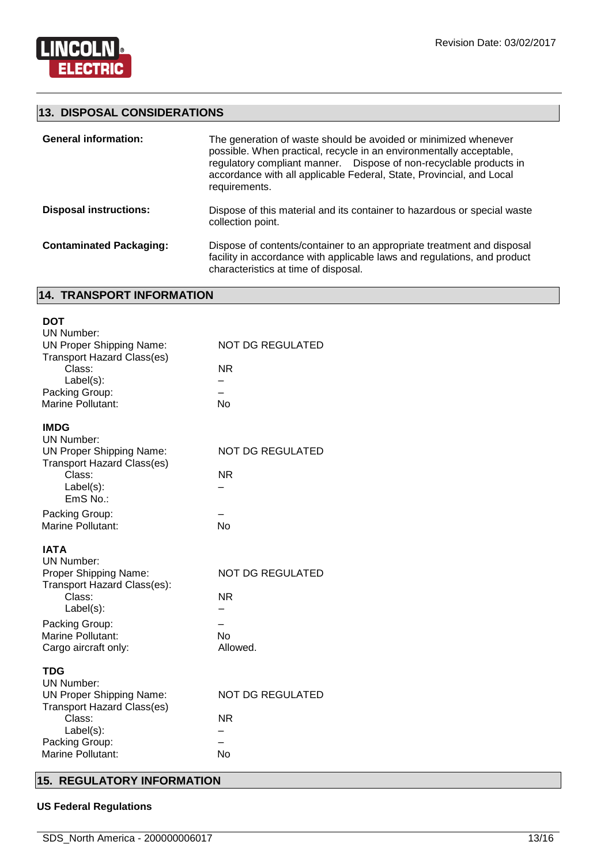

# **13. DISPOSAL CONSIDERATIONS**

| <b>General information:</b>    | The generation of waste should be avoided or minimized whenever<br>possible. When practical, recycle in an environmentally acceptable,<br>regulatory compliant manner. Dispose of non-recyclable products in<br>accordance with all applicable Federal, State, Provincial, and Local<br>requirements. |
|--------------------------------|-------------------------------------------------------------------------------------------------------------------------------------------------------------------------------------------------------------------------------------------------------------------------------------------------------|
| <b>Disposal instructions:</b>  | Dispose of this material and its container to hazardous or special waste<br>collection point.                                                                                                                                                                                                         |
| <b>Contaminated Packaging:</b> | Dispose of contents/container to an appropriate treatment and disposal<br>facility in accordance with applicable laws and regulations, and product<br>characteristics at time of disposal.                                                                                                            |

# **14. TRANSPORT INFORMATION**

| <b>DOT</b><br><b>UN Number:</b><br><b>UN Proper Shipping Name:</b><br><b>Transport Hazard Class(es)</b><br>Class:<br>Label(s):<br>Packing Group:<br>Marine Pollutant:          | <b>NOT DG REGULATED</b><br><b>NR</b><br><b>No</b>             |
|--------------------------------------------------------------------------------------------------------------------------------------------------------------------------------|---------------------------------------------------------------|
| <b>IMDG</b><br>UN Number:<br><b>UN Proper Shipping Name:</b><br><b>Transport Hazard Class(es)</b><br>Class:<br>$Label(s)$ :<br>EmS No.:                                        | <b>NOT DG REGULATED</b><br>NR.                                |
| Packing Group:<br>Marine Pollutant:                                                                                                                                            | <b>No</b>                                                     |
| <b>IATA</b><br><b>UN Number:</b><br>Proper Shipping Name:<br>Transport Hazard Class(es):<br>Class:<br>Label(s):<br>Packing Group:<br>Marine Pollutant:<br>Cargo aircraft only: | <b>NOT DG REGULATED</b><br><b>NR</b><br><b>No</b><br>Allowed. |
| <b>TDG</b><br><b>UN Number:</b><br><b>UN Proper Shipping Name:</b>                                                                                                             | NOT DG REGULATED                                              |

# **15. REGULATORY INFORMATION**

# **US Federal Regulations**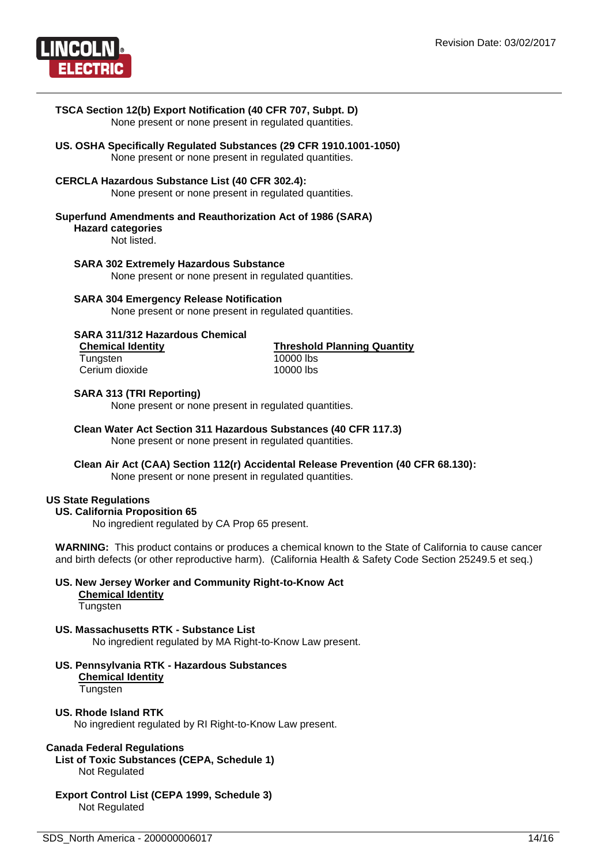

# **TSCA Section 12(b) Export Notification (40 CFR 707, Subpt. D)** None present or none present in regulated quantities. **US. OSHA Specifically Regulated Substances (29 CFR 1910.1001-1050)**

None present or none present in regulated quantities.

## **CERCLA Hazardous Substance List (40 CFR 302.4):**

None present or none present in regulated quantities.

#### **Superfund Amendments and Reauthorization Act of 1986 (SARA)**

**Hazard categories**

Not listed.

#### **SARA 302 Extremely Hazardous Substance**

None present or none present in regulated quantities.

#### **SARA 304 Emergency Release Notification**

None present or none present in regulated quantities.

# **SARA 311/312 Hazardous Chemical**

Tungsten 10000 lbs<br>Cerium dioxide 10000 lbs Cerium dioxide

**Threshold Planning Quantity** 

#### **SARA 313 (TRI Reporting)**

None present or none present in regulated quantities.

# **Clean Water Act Section 311 Hazardous Substances (40 CFR 117.3)**

None present or none present in regulated quantities.

# **Clean Air Act (CAA) Section 112(r) Accidental Release Prevention (40 CFR 68.130):**

None present or none present in regulated quantities.

# **US State Regulations**

#### **US. California Proposition 65**

No ingredient regulated by CA Prop 65 present.

**WARNING:** This product contains or produces a chemical known to the State of California to cause cancer and birth defects (or other reproductive harm). (California Health & Safety Code Section 25249.5 et seq.)

#### **US. New Jersey Worker and Community Right-to-Know Act Chemical Identity**

**Tungsten** 

# **US. Massachusetts RTK - Substance List**

No ingredient regulated by MA Right-to-Know Law present.

**US. Pennsylvania RTK - Hazardous Substances Chemical Identity Tungsten** 

# **US. Rhode Island RTK**

No ingredient regulated by RI Right-to-Know Law present.

# **Canada Federal Regulations**

**List of Toxic Substances (CEPA, Schedule 1)** Not Regulated

# **Export Control List (CEPA 1999, Schedule 3)** Not Regulated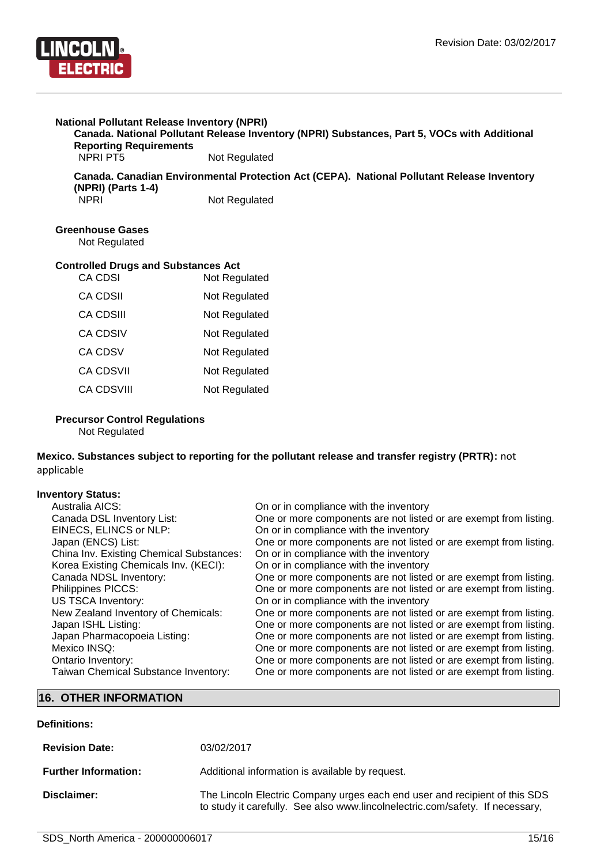

# **National Pollutant Release Inventory (NPRI)**

**Canada. National Pollutant Release Inventory (NPRI) Substances, Part 5, VOCs with Additional Reporting Requirements**

Not Regulated

**Canada. Canadian Environmental Protection Act (CEPA). National Pollutant Release Inventory (NPRI) (Parts 1-4)**

Not Regulated

# **Greenhouse Gases**

Not Regulated

# **Controlled Drugs and Substances Act**

| <b>CA CDSI</b>    | Not Regulated |
|-------------------|---------------|
| <b>CA CDSII</b>   | Not Regulated |
| CA CDSIII         | Not Regulated |
| CA CDSIV          | Not Regulated |
| <b>CA CDSV</b>    | Not Regulated |
| <b>CA CDSVII</b>  | Not Regulated |
| <b>CA CDSVIII</b> | Not Regulated |

#### **Precursor Control Regulations**

Not Regulated

# **Mexico. Substances subject to reporting for the pollutant release and transfer registry (PRTR):** not applicable

# **Inventory Status:**

| Australia AICS:                          | On or in compliance with the inventory                            |
|------------------------------------------|-------------------------------------------------------------------|
| Canada DSL Inventory List:               | One or more components are not listed or are exempt from listing. |
| EINECS, ELINCS or NLP:                   | On or in compliance with the inventory                            |
| Japan (ENCS) List:                       | One or more components are not listed or are exempt from listing. |
| China Inv. Existing Chemical Substances: | On or in compliance with the inventory                            |
| Korea Existing Chemicals Inv. (KECI):    | On or in compliance with the inventory                            |
| Canada NDSL Inventory:                   | One or more components are not listed or are exempt from listing. |
| Philippines PICCS:                       | One or more components are not listed or are exempt from listing. |
| <b>US TSCA Inventory:</b>                | On or in compliance with the inventory                            |
| New Zealand Inventory of Chemicals:      | One or more components are not listed or are exempt from listing. |
| Japan ISHL Listing:                      | One or more components are not listed or are exempt from listing. |
| Japan Pharmacopoeia Listing:             | One or more components are not listed or are exempt from listing. |
| Mexico INSQ:                             | One or more components are not listed or are exempt from listing. |
| Ontario Inventory:                       | One or more components are not listed or are exempt from listing. |
| Taiwan Chemical Substance Inventory:     | One or more components are not listed or are exempt from listing. |

# **16. OTHER INFORMATION**

# **Definitions:**

| <b>Revision Date:</b>       | 03/02/2017                                                                                                                                                  |
|-----------------------------|-------------------------------------------------------------------------------------------------------------------------------------------------------------|
| <b>Further Information:</b> | Additional information is available by request.                                                                                                             |
| Disclaimer:                 | The Lincoln Electric Company urges each end user and recipient of this SDS<br>to study it carefully. See also www.lincolnelectric.com/safety. If necessary, |